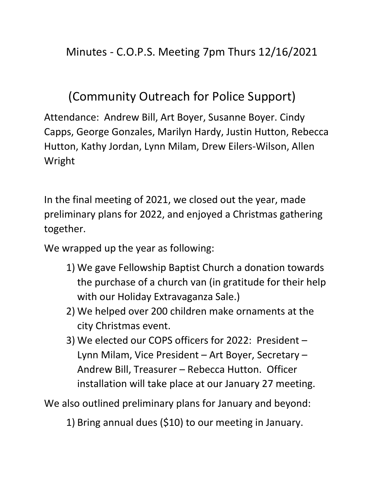## (Community Outreach for Police Support)

Attendance: Andrew Bill, Art Boyer, Susanne Boyer. Cindy Capps, George Gonzales, Marilyn Hardy, Justin Hutton, Rebecca Hutton, Kathy Jordan, Lynn Milam, Drew Eilers-Wilson, Allen Wright

In the final meeting of 2021, we closed out the year, made preliminary plans for 2022, and enjoyed a Christmas gathering together.

We wrapped up the year as following:

- 1) We gave Fellowship Baptist Church a donation towards the purchase of a church van (in gratitude for their help with our Holiday Extravaganza Sale.)
- 2) We helped over 200 children make ornaments at the city Christmas event.
- 3) We elected our COPS officers for 2022: President Lynn Milam, Vice President – Art Boyer, Secretary – Andrew Bill, Treasurer – Rebecca Hutton. Officer installation will take place at our January 27 meeting.

We also outlined preliminary plans for January and beyond:

1) Bring annual dues (\$10) to our meeting in January.